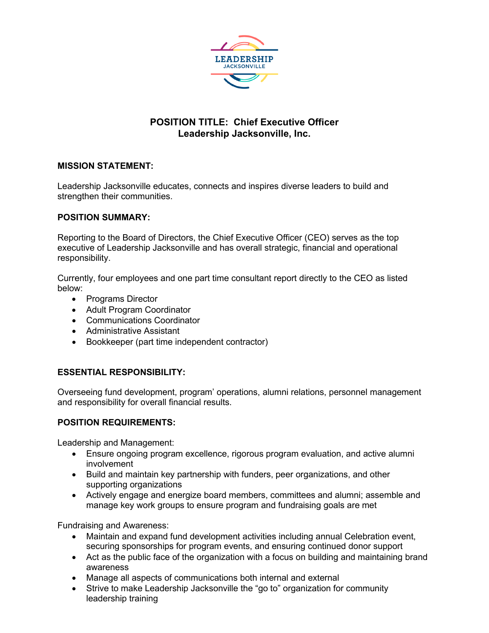

# **POSITION TITLE: Chief Executive Officer Leadership Jacksonville, Inc.**

### **MISSION STATEMENT:**

Leadership Jacksonville educates, connects and inspires diverse leaders to build and strengthen their communities.

### **POSITION SUMMARY:**

Reporting to the Board of Directors, the Chief Executive Officer (CEO) serves as the top executive of Leadership Jacksonville and has overall strategic, financial and operational responsibility.

Currently, four employees and one part time consultant report directly to the CEO as listed below:

- Programs Director
- Adult Program Coordinator
- Communications Coordinator
- Administrative Assistant
- Bookkeeper (part time independent contractor)

## **ESSENTIAL RESPONSIBILITY:**

Overseeing fund development, program' operations, alumni relations, personnel management and responsibility for overall financial results.

#### **POSITION REQUIREMENTS:**

Leadership and Management:

- Ensure ongoing program excellence, rigorous program evaluation, and active alumni involvement
- Build and maintain key partnership with funders, peer organizations, and other supporting organizations
- Actively engage and energize board members, committees and alumni; assemble and manage key work groups to ensure program and fundraising goals are met

Fundraising and Awareness:

- Maintain and expand fund development activities including annual Celebration event, securing sponsorships for program events, and ensuring continued donor support
- Act as the public face of the organization with a focus on building and maintaining brand awareness
- Manage all aspects of communications both internal and external
- Strive to make Leadership Jacksonville the "go to" organization for community leadership training